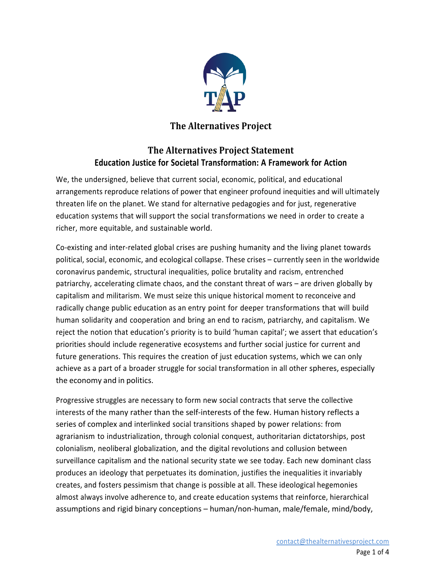

## **The Alternatives Project**

## **The Alternatives Project Statement Education Justice for Societal Transformation: A Framework for Action**

We, the undersigned, believe that current social, economic, political, and educational arrangements reproduce relations of power that engineer profound inequities and will ultimately threaten life on the planet. We stand for alternative pedagogies and for just, regenerative education systems that will support the social transformations we need in order to create a richer, more equitable, and sustainable world.

Co-existing and inter-related global crises are pushing humanity and the living planet towards political, social, economic, and ecological collapse. These crises – currently seen in the worldwide coronavirus pandemic, structural inequalities, police brutality and racism, entrenched patriarchy, accelerating climate chaos, and the constant threat of wars – are driven globally by capitalism and militarism. We must seize this unique historical moment to reconceive and radically change public education as an entry point for deeper transformations that will build human solidarity and cooperation and bring an end to racism, patriarchy, and capitalism. We reject the notion that education's priority is to build 'human capital'; we assert that education's priorities should include regenerative ecosystems and further social justice for current and future generations. This requires the creation of just education systems, which we can only achieve as a part of a broader struggle for social transformation in all other spheres, especially the economy and in politics.

Progressive struggles are necessary to form new social contracts that serve the collective interests of the many rather than the self-interests of the few. Human history reflects a series of complex and interlinked social transitions shaped by power relations: from agrarianism to industrialization, through colonial conquest, authoritarian dictatorships, post colonialism, neoliberal globalization, and the digital revolutions and collusion between surveillance capitalism and the national security state we see today. Each new dominant class produces an ideology that perpetuates its domination, justifies the inequalities it invariably creates, and fosters pessimism that change is possible at all. These ideological hegemonies almost always involve adherence to, and create education systems that reinforce, hierarchical assumptions and rigid binary conceptions – human/non-human, male/female, mind/body,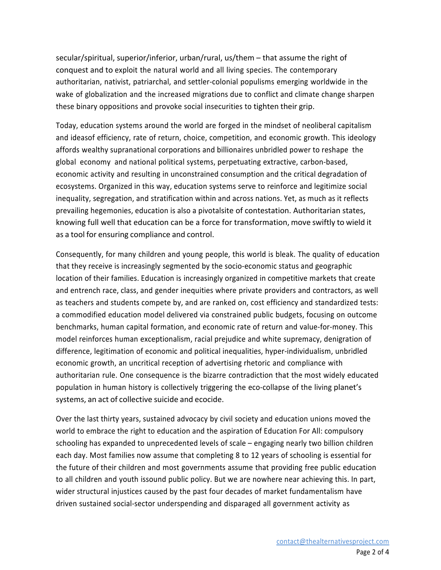secular/spiritual, superior/inferior, urban/rural, us/them – that assume the right of conquest and to exploit the natural world and all living species. The contemporary authoritarian, nativist, patriarchal, and settler-colonial populisms emerging worldwide in the wake of globalization and the increased migrations due to conflict and climate change sharpen these binary oppositions and provoke social insecurities to tighten their grip.

Today, education systems around the world are forged in the mindset of neoliberal capitalism and ideasof efficiency, rate of return, choice, competition, and economic growth. This ideology affords wealthy supranational corporations and billionaires unbridled power to reshape the global economy and national political systems, perpetuating extractive, carbon-based, economic activity and resulting in unconstrained consumption and the critical degradation of ecosystems. Organized in this way, education systems serve to reinforce and legitimize social inequality, segregation, and stratification within and across nations. Yet, as much as it reflects prevailing hegemonies, education is also a pivotalsite of contestation. Authoritarian states, knowing full well that education can be a force for transformation, move swiftly to wield it as a tool for ensuring compliance and control.

Consequently, for many children and young people, this world is bleak. The quality of education that they receive is increasingly segmented by the socio-economic status and geographic location of their families. Education is increasingly organized in competitive markets that create and entrench race, class, and gender inequities where private providers and contractors, as well as teachers and students compete by, and are ranked on, cost efficiency and standardized tests: a commodified education model delivered via constrained public budgets, focusing on outcome benchmarks, human capital formation, and economic rate of return and value-for-money. This model reinforces human exceptionalism, racial prejudice and white supremacy, denigration of difference, legitimation of economic and political inequalities, hyper-individualism, unbridled economic growth, an uncritical reception of advertising rhetoric and compliance with authoritarian rule. One consequence is the bizarre contradiction that the most widely educated population in human history is collectively triggering the eco-collapse of the living planet's systems, an act of collective suicide and ecocide.

Over the last thirty years, sustained advocacy by civil society and education unions moved the world to embrace the right to education and the aspiration of Education For All: compulsory schooling has expanded to unprecedented levels of scale – engaging nearly two billion children each day. Most families now assume that completing 8 to 12 years of schooling is essential for the future of their children and most governments assume that providing free public education to all children and youth issound public policy. But we are nowhere near achieving this. In part, wider structural injustices caused by the past four decades of market fundamentalism have driven sustained social-sector underspending and disparaged all government activity as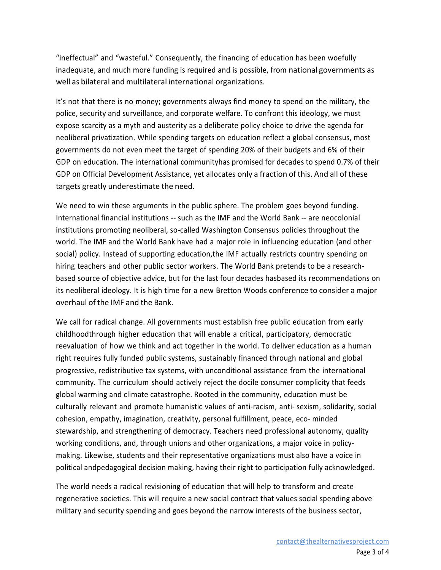"ineffectual" and "wasteful." Consequently, the financing of education has been woefully inadequate, and much more funding is required and is possible, from national governments as well as bilateral and multilateral international organizations.

It's not that there is no money; governments always find money to spend on the military, the police, security and surveillance, and corporate welfare. To confront this ideology, we must expose scarcity as a myth and austerity as a deliberate policy choice to drive the agenda for neoliberal privatization. While spending targets on education reflect a global consensus, most governments do not even meet the target of spending 20% of their budgets and 6% of their GDP on education. The international communityhas promised for decades to spend 0.7% of their GDP on Official Development Assistance, yet allocates only a fraction of this. And all of these targets greatly underestimate the need.

We need to win these arguments in the public sphere. The problem goes beyond funding. International financial institutions -- such as the IMF and the World Bank -- are neocolonial institutions promoting neoliberal, so-called Washington Consensus policies throughout the world. The IMF and the World Bank have had a major role in influencing education (and other social) policy. Instead of supporting education,the IMF actually restricts country spending on hiring teachers and other public sector workers. The World Bank pretends to be a researchbased source of objective advice, but for the last four decades hasbased its recommendations on its neoliberal ideology. It is high time for a new Bretton Woods conference to consider a major overhaul of the IMF and the Bank.

We call for radical change. All governments must establish free public education from early childhoodthrough higher education that will enable a critical, participatory, democratic reevaluation of how we think and act together in the world. To deliver education as a human right requires fully funded public systems, sustainably financed through national and global progressive, redistributive tax systems, with unconditional assistance from the international community. The curriculum should actively reject the docile consumer complicity that feeds global warming and climate catastrophe. Rooted in the community, education must be culturally relevant and promote humanistic values of anti-racism, anti- sexism, solidarity, social cohesion, empathy, imagination, creativity, personal fulfillment, peace, eco- minded stewardship, and strengthening of democracy. Teachers need professional autonomy, quality working conditions, and, through unions and other organizations, a major voice in policymaking. Likewise, students and their representative organizations must also have a voice in political andpedagogical decision making, having their right to participation fully acknowledged.

The world needs a radical revisioning of education that will help to transform and create regenerative societies. This will require a new social contract that values social spending above military and security spending and goes beyond the narrow interests of the business sector,